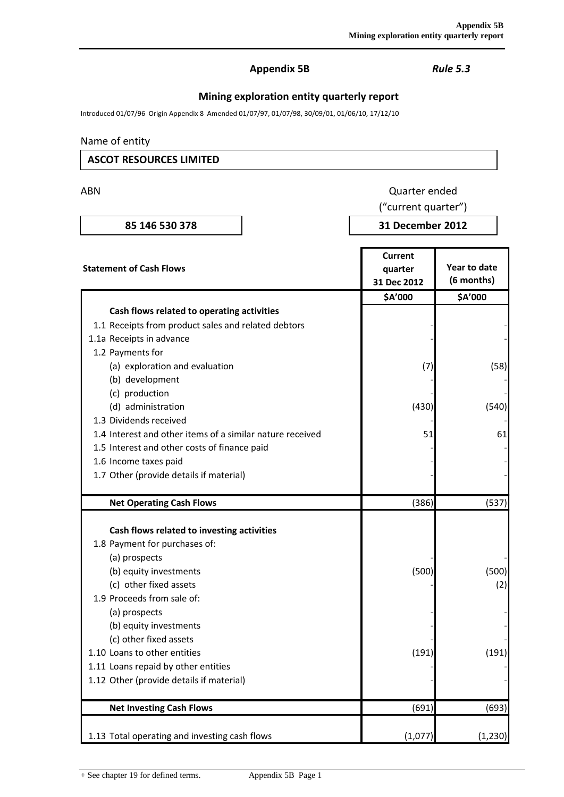# **Appendix 5B** *Rule 5.3*

# **Mining exploration entity quarterly report**

Introduced 01/07/96 Origin Appendix 8 Amended 01/07/97, 01/07/98, 30/09/01, 01/06/10, 17/12/10

#### Name of entity

# **ASCOT RESOURCES LIMITED**

ABN Quarter ended

# ("current quarter")

**85 146 530 378 31 December 2012**

| <b>Statement of Cash Flows</b>                            | Current<br>quarter<br>31 Dec 2012 | Year to date<br>(6 months) |
|-----------------------------------------------------------|-----------------------------------|----------------------------|
|                                                           | \$A'000                           | \$A'000                    |
| Cash flows related to operating activities                |                                   |                            |
| 1.1 Receipts from product sales and related debtors       |                                   |                            |
| 1.1a Receipts in advance                                  |                                   |                            |
| 1.2 Payments for                                          |                                   |                            |
| (a) exploration and evaluation                            | (7)                               | (58)                       |
| (b) development                                           |                                   |                            |
| (c) production                                            |                                   |                            |
| (d) administration                                        | (430)                             | (540)                      |
| 1.3 Dividends received                                    |                                   |                            |
| 1.4 Interest and other items of a similar nature received | 51                                | 61                         |
| 1.5 Interest and other costs of finance paid              |                                   |                            |
| 1.6 Income taxes paid                                     |                                   |                            |
| 1.7 Other (provide details if material)                   |                                   |                            |
|                                                           |                                   |                            |
| <b>Net Operating Cash Flows</b>                           | (386)                             | (537)                      |
|                                                           |                                   |                            |
| Cash flows related to investing activities                |                                   |                            |
| 1.8 Payment for purchases of:                             |                                   |                            |
| (a) prospects                                             |                                   |                            |
| (b) equity investments                                    | (500)                             | (500)                      |
| (c) other fixed assets                                    |                                   | (2)                        |
| 1.9 Proceeds from sale of:                                |                                   |                            |
| (a) prospects                                             |                                   |                            |
| (b) equity investments                                    |                                   |                            |
| (c) other fixed assets                                    |                                   |                            |
| 1.10 Loans to other entities                              | (191)                             | (191)                      |
| 1.11 Loans repaid by other entities                       |                                   |                            |
| 1.12 Other (provide details if material)                  |                                   |                            |
| <b>Net Investing Cash Flows</b>                           | (691)                             | (693)                      |
|                                                           |                                   |                            |
| 1.13 Total operating and investing cash flows             | (1,077)                           | (1, 230)                   |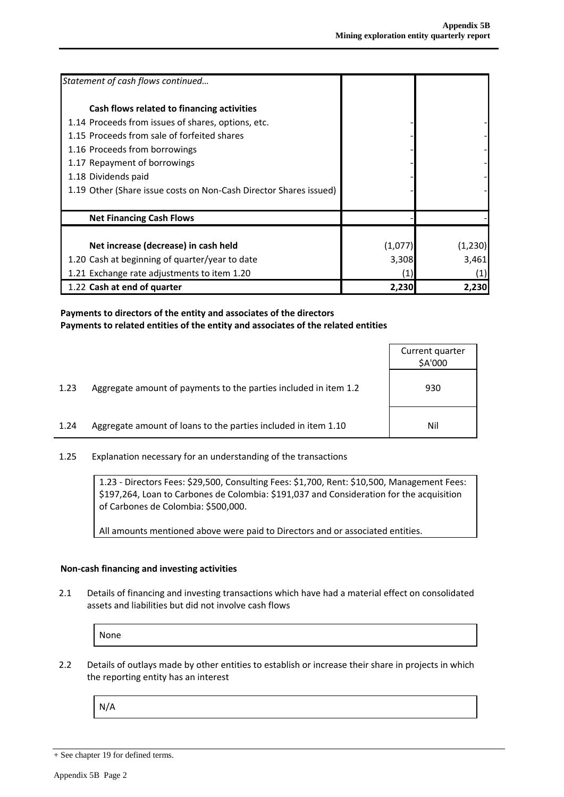| Statement of cash flows continued                                 |                   |         |
|-------------------------------------------------------------------|-------------------|---------|
| Cash flows related to financing activities                        |                   |         |
| 1.14 Proceeds from issues of shares, options, etc.                |                   |         |
| 1.15 Proceeds from sale of forfeited shares                       |                   |         |
| 1.16 Proceeds from borrowings                                     |                   |         |
| 1.17 Repayment of borrowings                                      |                   |         |
| 1.18 Dividends paid                                               |                   |         |
| 1.19 Other (Share issue costs on Non-Cash Director Shares issued) |                   |         |
| <b>Net Financing Cash Flows</b>                                   |                   |         |
| Net increase (decrease) in cash held                              | (1,077)           | (1,230) |
| 1.20 Cash at beginning of quarter/year to date                    | 3,308             | 3,461   |
| 1.21 Exchange rate adjustments to item 1.20                       | $\left( 1\right)$ | (1)     |
| 1.22 Cash at end of quarter                                       | 2,230             | 2,230   |

#### **Payments to directors of the entity and associates of the directors Payments to related entities of the entity and associates of the related entities**

|      |                                                                  | Current quarter<br>\$A'000 |
|------|------------------------------------------------------------------|----------------------------|
| 1.23 | Aggregate amount of payments to the parties included in item 1.2 | 930                        |
| 1.24 | Aggregate amount of loans to the parties included in item 1.10   | Nil                        |

1.25 Explanation necessary for an understanding of the transactions

1.23 - Directors Fees: \$29,500, Consulting Fees: \$1,700, Rent: \$10,500, Management Fees: \$197,264, Loan to Carbones de Colombia: \$191,037 and Consideration for the acquisition of Carbones de Colombia: \$500,000.

All amounts mentioned above were paid to Directors and or associated entities.

#### **Non-cash financing and investing activities**

2.1 Details of financing and investing transactions which have had a material effect on consolidated assets and liabilities but did not involve cash flows

None

2.2 Details of outlays made by other entities to establish or increase their share in projects in which the reporting entity has an interest

N/A

<sup>+</sup> See chapter 19 for defined terms.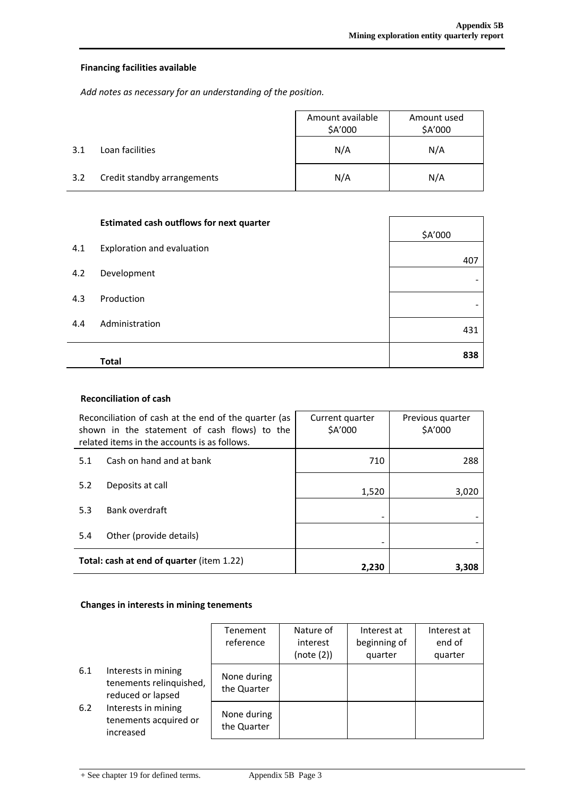### **Financing facilities available**

*Add notes as necessary for an understanding of the position.*

|     |                             | Amount available<br>\$A'000 | Amount used<br>\$A'000 |
|-----|-----------------------------|-----------------------------|------------------------|
| 3.1 | Loan facilities             | N/A                         | N/A                    |
| 3.2 | Credit standby arrangements | N/A                         | N/A                    |

|     | <b>Estimated cash outflows for next quarter</b> | \$A'000 |
|-----|-------------------------------------------------|---------|
| 4.1 | Exploration and evaluation                      | 407     |
| 4.2 | Development                                     |         |
| 4.3 | Production                                      | -       |
| 4.4 | Administration                                  | 431     |
|     | <b>Total</b>                                    | 838     |

#### **Reconciliation of cash**

| Reconciliation of cash at the end of the quarter (as<br>shown in the statement of cash flows) to the<br>related items in the accounts is as follows. |                          | Current quarter<br>\$A'000 | Previous quarter<br>\$A'000 |  |
|------------------------------------------------------------------------------------------------------------------------------------------------------|--------------------------|----------------------------|-----------------------------|--|
| 5.1                                                                                                                                                  | Cash on hand and at bank | 710                        | 288                         |  |
| 5.2                                                                                                                                                  | Deposits at call         | 1,520                      | 3,020                       |  |
| 5.3                                                                                                                                                  | Bank overdraft           |                            |                             |  |
| 5.4                                                                                                                                                  | Other (provide details)  |                            |                             |  |
| Total: cash at end of quarter (item 1.22)                                                                                                            |                          | 2,230                      | 3,308                       |  |

#### **Changes in interests in mining tenements**

|     |                                                                     | Tenement<br>reference      | Nature of<br>interest<br>(note (2)) | Interest at<br>beginning of<br>quarter | Interest at<br>end of<br>quarter |
|-----|---------------------------------------------------------------------|----------------------------|-------------------------------------|----------------------------------------|----------------------------------|
| 6.1 | Interests in mining<br>tenements relinquished,<br>reduced or lapsed | None during<br>the Quarter |                                     |                                        |                                  |
| 6.2 | Interests in mining<br>tenements acquired or<br>increased           | None during<br>the Quarter |                                     |                                        |                                  |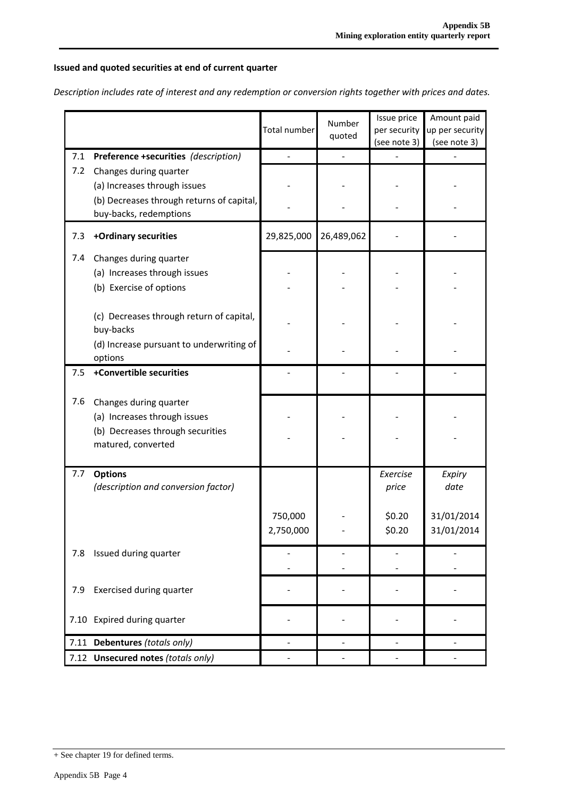## **Issued and quoted securities at end of current quarter**

*Description includes rate of interest and any redemption or conversion rights together with prices and dates.*

|     |                                                                                                                  | Total number         | Number<br>quoted | Issue price<br>per security<br>(see note 3) | Amount paid<br>up per security<br>(see note 3) |
|-----|------------------------------------------------------------------------------------------------------------------|----------------------|------------------|---------------------------------------------|------------------------------------------------|
| 7.1 | Preference +securities (description)                                                                             |                      |                  |                                             |                                                |
| 7.2 | Changes during quarter<br>(a) Increases through issues<br>(b) Decreases through returns of capital,              |                      |                  |                                             |                                                |
|     | buy-backs, redemptions                                                                                           |                      |                  |                                             |                                                |
| 7.3 | +Ordinary securities                                                                                             | 29,825,000           | 26,489,062       |                                             |                                                |
| 7.4 | Changes during quarter<br>(a) Increases through issues<br>(b) Exercise of options                                |                      |                  |                                             |                                                |
|     | (c) Decreases through return of capital,<br>buy-backs                                                            |                      |                  |                                             |                                                |
|     | (d) Increase pursuant to underwriting of<br>options                                                              |                      |                  |                                             |                                                |
| 7.5 | +Convertible securities                                                                                          |                      |                  |                                             |                                                |
| 7.6 | Changes during quarter<br>(a) Increases through issues<br>(b) Decreases through securities<br>matured, converted |                      |                  |                                             |                                                |
| 7.7 | <b>Options</b><br>(description and conversion factor)                                                            |                      |                  | Exercise<br>price                           | Expiry<br>date                                 |
|     |                                                                                                                  | 750,000<br>2.750.000 |                  | \$0.20<br>\$0.20                            | 31/01/2014<br>31/01/2014                       |
| 7.8 | Issued during quarter                                                                                            |                      |                  |                                             |                                                |
| 7.9 | Exercised during quarter                                                                                         |                      |                  |                                             |                                                |
|     | 7.10 Expired during quarter                                                                                      |                      |                  |                                             |                                                |
|     | 7.11 Debentures (totals only)                                                                                    |                      |                  |                                             |                                                |
|     | 7.12 Unsecured notes (totals only)                                                                               |                      |                  |                                             |                                                |

<sup>+</sup> See chapter 19 for defined terms.